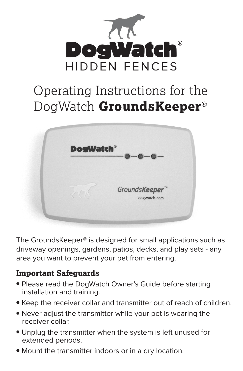

# Operating Instructions for the DogWatch **GroundsKeeper**<sup>®</sup>



The GroundsKeeper® is designed for small applications such as driveway openings, gardens, patios, decks, and play sets - any area you want to prevent your pet from entering.

## **Safeguards Important**

- **Please read the DogWatch Owner's Guide before starting** installation and training.
- Keep the receiver collar and transmitter out of reach of children.
- Never adjust the transmitter while your pet is wearing the receiver collar.
- **Unplug the transmitter when the system is left unused for** extended periods.
- Mount the transmitter indoors or in a dry location.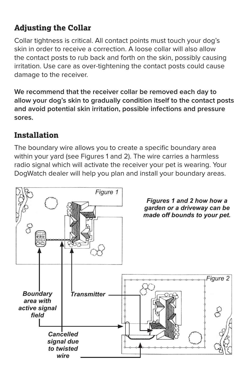# **Adjusting the Collar**

Collar tightness is critical. All contact points must touch your dog's skin in order to receive a correction A loose collar will also allow the contact posts to rub back and forth on the skin, possibly causing irritation. Use care as over-tightening the contact posts could cause damage to the receiver.

We recommend that the receiver collar be removed each day to allow your dog's skin to gradually condition itself to the contact posts and avoid potential skin irritation, possible infections and pressure **.sores**

## **Installation**

The boundary wire allows you to create a specific boundary area within your vard (see Figures 1 and 2). The wire carries a harmless radio signal which will activate the receiver your pet is wearing. Your DogWatch dealer will help you plan and install your boundary areas.

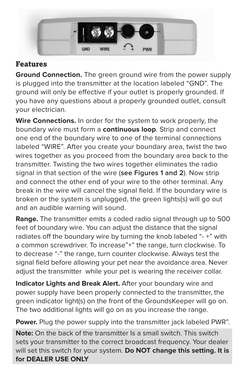

#### **Features**

**Ground Connection.** The green ground wire from the power supply is plugged into the transmitter at the location labeled "GND". The ground will only be effective if your outlet is properly grounded. If you have any questions about a properly grounded outlet, consult vour electrician.

Wire Connections. In order for the system to work properly, the boundary wire must form a **continuous loop**. Strip and connect one end of the boundary wire to one of the terminal connections labeled "WIRE". After you create your boundary area, twist the two wires together as you proceed from the boundary area back to the transmitter. Twisting the two wires together eliminates the radio signal in that section of the wire (see Figures 1 and 2). Now strip and connect the other end of your wire to the other terminal. Any break in the wire will cancel the signal field. If the boundary wire is broken or the system is unplugged, the green lights(s) will go out and an audible warning will sound.

**Range.** The transmitter emits a coded radio signal through up to 500 feet of boundary wire. You can adjust the distance that the signal radiates off the boundary wire by turning the knob labeled "-+" with a common screwdriver. To increase"+" the range, turn clockwise. To to decrease "-" the range, turn counter clockwise. Always test the signal field before allowing your pet near the avoidance area. Never adjust the transmitter while your pet is wearing the receiver collar.

Indicator Lights and Break Alert. After your boundary wire and power supply have been properly connected to the transmitter, the green indicator light(s) on the front of the GroundsKeeper will go on. The two additional lights will go on as you increase the range.

Power. Plug the power supply into the transmitter jack labeled PWR".

**Note:** On the back of the transmitter Is a small switch. This switch sets your transmitter to the correct broadcast frequency. Your dealer will set this switch for your system. Do NOT change this setting. It is **for DEALER USE ONLY**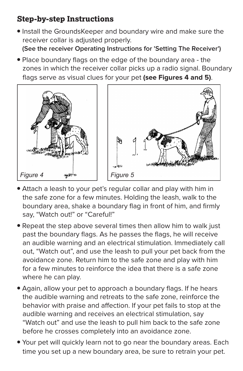## **Step-by-step Instructions**

**• Install the GroundsKeeper and boundary wire and make sure the** receiver collar is adjusted properly. (See the receiver Operating Instructions for 'Setting The Receiver')

• Place boundary flags on the edge of the boundary area - the zones in which the receiver collar picks up a radio signal. Boundary flags serve as visual clues for your pet (see Figures 4 and 5).



- Attach a leash to your pet's regular collar and play with him in the safe zone for a few minutes. Holding the leash, walk to the boundary area, shake a boundary flag in front of him, and firmly say, "Watch out!" or "Careful!"
- Repeat the step above several times then allow him to walk just past the boundary flags. As he passes the flags, he will receive an audible warning and an electrical stimulation. Immediately call out. "Watch out", and use the leash to pull your pet back from the avoidance zone. Return him to the safe zone and play with him for a few minutes to reinforce the idea that there is a safe zone where he can play.
- Again, allow your pet to approach a boundary flags. If he hears the audible warning and retreats to the safe zone, reinforce the behavior with praise and affection. If your pet fails to stop at the audible warning and receives an electrical stimulation, say "Watch out" and use the leash to pull him back to the safe zone before he crosses completely into an avoidance zone.
- **•** Your pet will quickly learn not to go near the boundary areas. Each time you set up a new boundary area, be sure to retrain your pet.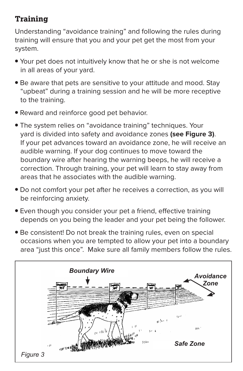# **Training**

Understanding "avoidance training" and following the rules during training will ensure that you and your pet get the most from your system.

- Your pet does not intuitively know that he or she is not welcome in all areas of your yard.
- Be aware that pets are sensitive to your attitude and mood. Stay "upbeat" during a training session and he will be more receptive to the training.
- Reward and reinforce good pet behavior.
- **The system relies on "avoidance training" techniques. Your** vard is divided into safety and avoidance zones (see Figure 3). If your pet advances toward an avoidance zone, he will receive an audible warning. If your dog continues to move toward the boundary wire after hearing the warning beeps, he will receive a correction. Through training, your pet will learn to stay away from areas that he associates with the audible warning.
- Do not comfort your pet after he receives a correction, as you will be reinforcing anxiety.
- **•** Even though you consider your pet a friend, effective training depends on you being the leader and your pet being the follower.
- Be consistent! Do not break the training rules, even on special occasions when you are tempted to allow your pet into a boundary area "just this once". Make sure all family members follow the rules.

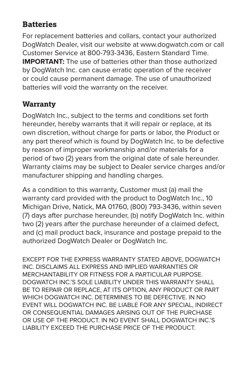# **Batteries**

For replacement batteries and collars, contact your authorized DogWatch Dealer, visit our website at www.dogwatch.com or call Customer Service at 800-793-3436, Eastern Standard Time. **IMPORTANT:** The use of batteries other than those authorized by DogWatch Inc. can cause erratic operation of the receiver or could cause permanent damage. The use of unauthorized batteries will void the warranty on the receiver.

#### **Warranty**

DogWatch Inc., subject to the terms and conditions set forth hereunder, hereby warrants that it will repair or replace, at its own discretion, without charge for parts or labor, the Product or any part thereof which is found by DogWatch Inc. to be defective by reason of improper workmanship and/or materials for a period of two (2) years from the original date of sale hereunder. Warranty claims may be subject to Dealer service charges and/or manufacturer shipping and handling charges.

As a condition to this warranty, Customer must (a) mail the warranty card provided with the product to DogWatch Inc., 10 Michigan Drive, Natick, MA 01760, (800) 793-3436, within seven (7) days after purchase hereunder, (b) notify DogWatch Inc. within two (2) years after the purchase hereunder of a claimed defect, and (c) mail product back, insurance and postage prepaid to the authorized DogWatch Dealer or DogWatch Inc.

EXCEPT FOR THE EXPRESS WARRANTY STATED ABOVE, DOGWATCH INC. DISCLAIMS ALL EXPRESS AND IMPLIED WARRANTIES OR MERCHANTARILITY OR FITNESS FOR A PARTICULAR PURPOSE DOGWATCH INC.'S SOLE LIABILITY UNDER THIS WARRANTY SHALL BE TO REPAIR OR REPLACE, AT ITS OPTION, ANY PRODUCT OR PART WHICH DOGWATCH INC. DETERMINES TO BE DEFECTIVE. IN NO EVENT WILL DOGWATCH INC. BE LIABLE FOR ANY SPECIAL, INDIRECT OR CONSEQUENTIAL DAMAGES ARISING OUT OF THE PURCHASE OR USE OF THE PRODUCT IN NO EVENT SHALL DOGWATCH INC'S **LIABILITY EXCEED THE PURCHASE PRICE OF THE PRODUCT**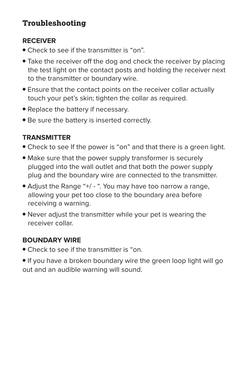# **Troubleshooting**

#### **RECEIVER**

- **.** Check to see if the transmitter is "on".
- Take the receiver off the dog and check the receiver by placing the test light on the contact posts and holding the receiver next to the transmitter or boundary wire.
- Ensure that the contact points on the receiver collar actually touch your pet's skin; tighten the collar as required.
- Replace the battery if necessary.
- **Be sure the battery is inserted correctly.**

#### **TRANSMITTER**

- Check to see If the power is "on" and that there is a green light.
- Make sure that the power supply transformer is securely plugged into the wall outlet and that both the power supply plug and the boundary wire are connected to the transmitter.
- Adjust the Range "+/ ". You may have too narrow a range, allowing your pet too close to the boundary area before receiving a warning.
- Never adjust the transmitter while your pet is wearing the receiver collar.

#### **BOUNDARY WIRE**

**.** Check to see if the transmitter is "on.

**•** If you have a broken boundary wire the green loop light will go out and an audible warning will sound.